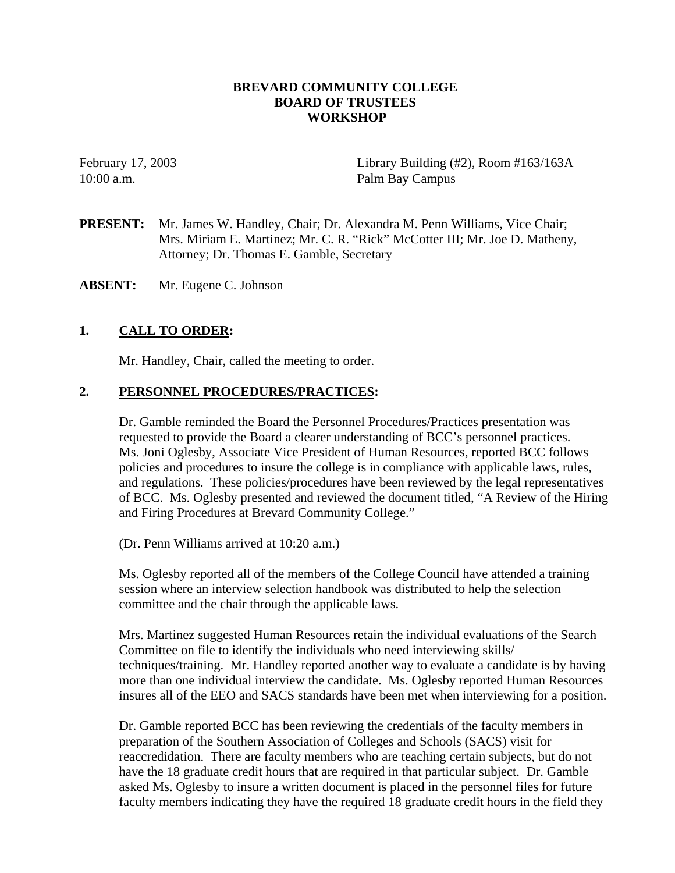### **BREVARD COMMUNITY COLLEGE BOARD OF TRUSTEES WORKSHOP**

February 17, 2003 Library Building (#2), Room #163/163A 10:00 a.m. Palm Bay Campus

**PRESENT:** Mr. James W. Handley, Chair; Dr. Alexandra M. Penn Williams, Vice Chair; Mrs. Miriam E. Martinez; Mr. C. R. "Rick" McCotter III; Mr. Joe D. Matheny, Attorney; Dr. Thomas E. Gamble, Secretary

**ABSENT:** Mr. Eugene C. Johnson

# **1. CALL TO ORDER:**

Mr. Handley, Chair, called the meeting to order.

#### **2. PERSONNEL PROCEDURES/PRACTICES:**

Dr. Gamble reminded the Board the Personnel Procedures/Practices presentation was requested to provide the Board a clearer understanding of BCC's personnel practices. Ms. Joni Oglesby, Associate Vice President of Human Resources, reported BCC follows policies and procedures to insure the college is in compliance with applicable laws, rules, and regulations. These policies/procedures have been reviewed by the legal representatives of BCC. Ms. Oglesby presented and reviewed the document titled, "A Review of the Hiring and Firing Procedures at Brevard Community College."

(Dr. Penn Williams arrived at 10:20 a.m.)

Ms. Oglesby reported all of the members of the College Council have attended a training session where an interview selection handbook was distributed to help the selection committee and the chair through the applicable laws.

Mrs. Martinez suggested Human Resources retain the individual evaluations of the Search Committee on file to identify the individuals who need interviewing skills/ techniques/training. Mr. Handley reported another way to evaluate a candidate is by having more than one individual interview the candidate. Ms. Oglesby reported Human Resources insures all of the EEO and SACS standards have been met when interviewing for a position.

Dr. Gamble reported BCC has been reviewing the credentials of the faculty members in preparation of the Southern Association of Colleges and Schools (SACS) visit for reaccredidation. There are faculty members who are teaching certain subjects, but do not have the 18 graduate credit hours that are required in that particular subject. Dr. Gamble asked Ms. Oglesby to insure a written document is placed in the personnel files for future faculty members indicating they have the required 18 graduate credit hours in the field they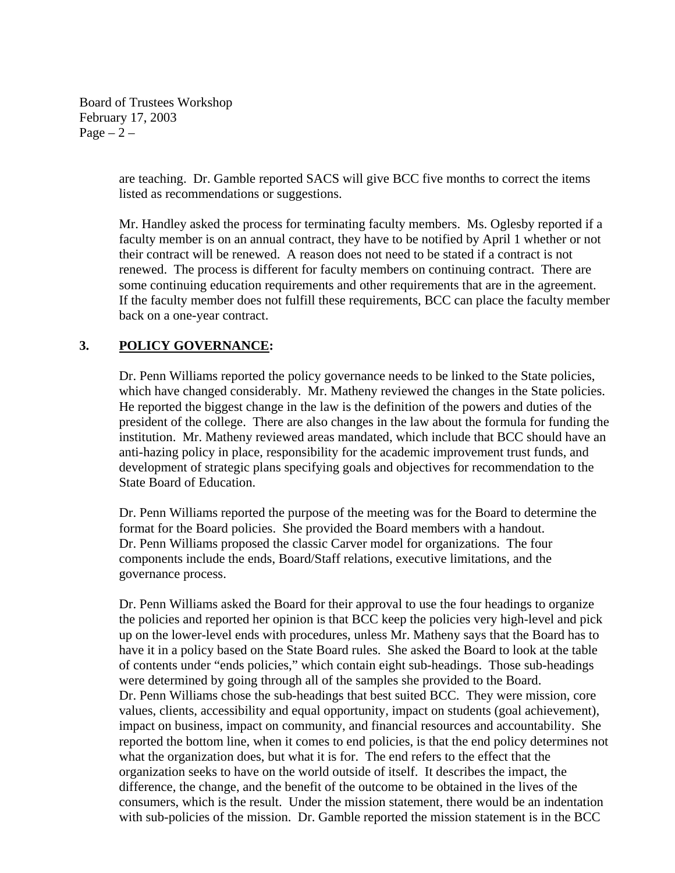Board of Trustees Workshop February 17, 2003 Page  $-2$  –

> are teaching. Dr. Gamble reported SACS will give BCC five months to correct the items listed as recommendations or suggestions.

Mr. Handley asked the process for terminating faculty members. Ms. Oglesby reported if a faculty member is on an annual contract, they have to be notified by April 1 whether or not their contract will be renewed. A reason does not need to be stated if a contract is not renewed. The process is different for faculty members on continuing contract. There are some continuing education requirements and other requirements that are in the agreement. If the faculty member does not fulfill these requirements, BCC can place the faculty member back on a one-year contract.

### **3. POLICY GOVERNANCE:**

Dr. Penn Williams reported the policy governance needs to be linked to the State policies, which have changed considerably. Mr. Matheny reviewed the changes in the State policies. He reported the biggest change in the law is the definition of the powers and duties of the president of the college. There are also changes in the law about the formula for funding the institution. Mr. Matheny reviewed areas mandated, which include that BCC should have an anti-hazing policy in place, responsibility for the academic improvement trust funds, and development of strategic plans specifying goals and objectives for recommendation to the State Board of Education.

Dr. Penn Williams reported the purpose of the meeting was for the Board to determine the format for the Board policies. She provided the Board members with a handout. Dr. Penn Williams proposed the classic Carver model for organizations. The four components include the ends, Board/Staff relations, executive limitations, and the governance process.

Dr. Penn Williams asked the Board for their approval to use the four headings to organize the policies and reported her opinion is that BCC keep the policies very high-level and pick up on the lower-level ends with procedures, unless Mr. Matheny says that the Board has to have it in a policy based on the State Board rules. She asked the Board to look at the table of contents under "ends policies," which contain eight sub-headings. Those sub-headings were determined by going through all of the samples she provided to the Board. Dr. Penn Williams chose the sub-headings that best suited BCC. They were mission, core values, clients, accessibility and equal opportunity, impact on students (goal achievement), impact on business, impact on community, and financial resources and accountability. She reported the bottom line, when it comes to end policies, is that the end policy determines not what the organization does, but what it is for. The end refers to the effect that the organization seeks to have on the world outside of itself. It describes the impact, the difference, the change, and the benefit of the outcome to be obtained in the lives of the consumers, which is the result. Under the mission statement, there would be an indentation with sub-policies of the mission. Dr. Gamble reported the mission statement is in the BCC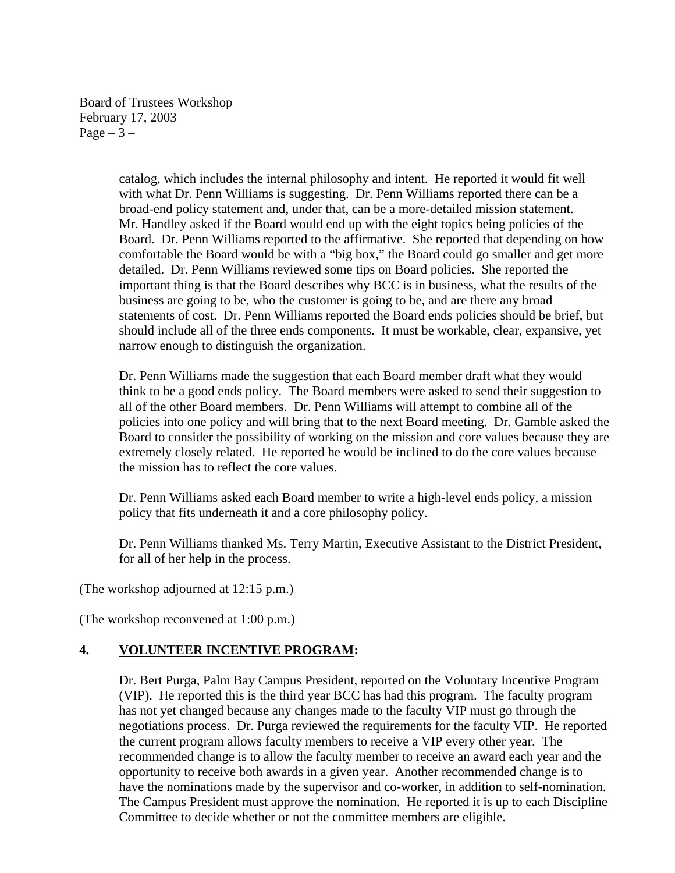Board of Trustees Workshop February 17, 2003 Page  $-3-$ 

> catalog, which includes the internal philosophy and intent. He reported it would fit well with what Dr. Penn Williams is suggesting. Dr. Penn Williams reported there can be a broad-end policy statement and, under that, can be a more-detailed mission statement. Mr. Handley asked if the Board would end up with the eight topics being policies of the Board. Dr. Penn Williams reported to the affirmative. She reported that depending on how comfortable the Board would be with a "big box," the Board could go smaller and get more detailed. Dr. Penn Williams reviewed some tips on Board policies. She reported the important thing is that the Board describes why BCC is in business, what the results of the business are going to be, who the customer is going to be, and are there any broad statements of cost. Dr. Penn Williams reported the Board ends policies should be brief, but should include all of the three ends components. It must be workable, clear, expansive, yet narrow enough to distinguish the organization.

Dr. Penn Williams made the suggestion that each Board member draft what they would think to be a good ends policy. The Board members were asked to send their suggestion to all of the other Board members. Dr. Penn Williams will attempt to combine all of the policies into one policy and will bring that to the next Board meeting. Dr. Gamble asked the Board to consider the possibility of working on the mission and core values because they are extremely closely related. He reported he would be inclined to do the core values because the mission has to reflect the core values.

Dr. Penn Williams asked each Board member to write a high-level ends policy, a mission policy that fits underneath it and a core philosophy policy.

Dr. Penn Williams thanked Ms. Terry Martin, Executive Assistant to the District President, for all of her help in the process.

(The workshop adjourned at 12:15 p.m.)

(The workshop reconvened at 1:00 p.m.)

### **4. VOLUNTEER INCENTIVE PROGRAM:**

Dr. Bert Purga, Palm Bay Campus President, reported on the Voluntary Incentive Program (VIP). He reported this is the third year BCC has had this program. The faculty program has not yet changed because any changes made to the faculty VIP must go through the negotiations process. Dr. Purga reviewed the requirements for the faculty VIP. He reported the current program allows faculty members to receive a VIP every other year. The recommended change is to allow the faculty member to receive an award each year and the opportunity to receive both awards in a given year. Another recommended change is to have the nominations made by the supervisor and co-worker, in addition to self-nomination. The Campus President must approve the nomination. He reported it is up to each Discipline Committee to decide whether or not the committee members are eligible.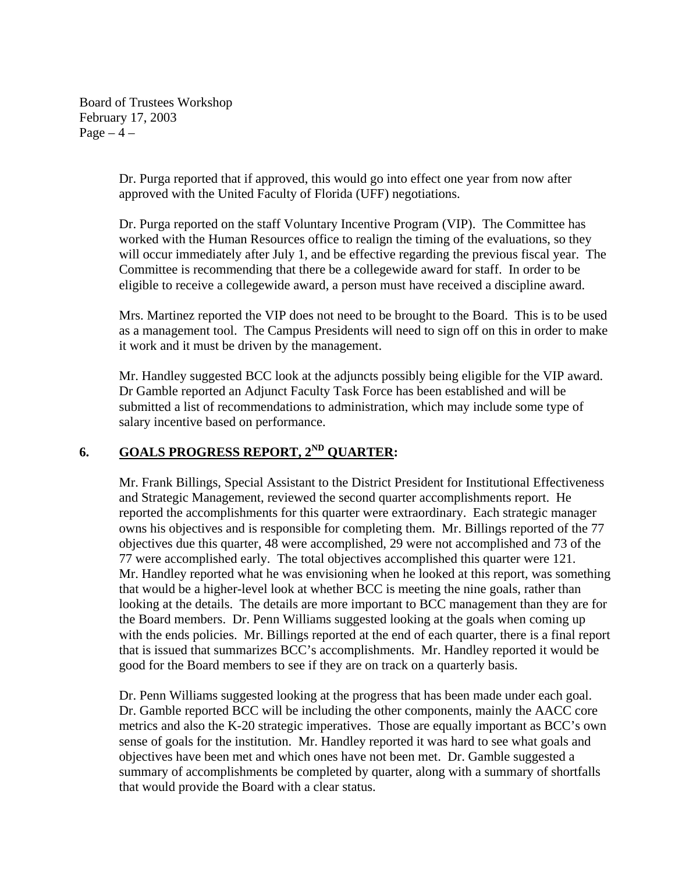Board of Trustees Workshop February 17, 2003 Page  $-4$  –

> Dr. Purga reported that if approved, this would go into effect one year from now after approved with the United Faculty of Florida (UFF) negotiations.

Dr. Purga reported on the staff Voluntary Incentive Program (VIP). The Committee has worked with the Human Resources office to realign the timing of the evaluations, so they will occur immediately after July 1, and be effective regarding the previous fiscal year. The Committee is recommending that there be a collegewide award for staff. In order to be eligible to receive a collegewide award, a person must have received a discipline award.

Mrs. Martinez reported the VIP does not need to be brought to the Board. This is to be used as a management tool. The Campus Presidents will need to sign off on this in order to make it work and it must be driven by the management.

Mr. Handley suggested BCC look at the adjuncts possibly being eligible for the VIP award. Dr Gamble reported an Adjunct Faculty Task Force has been established and will be submitted a list of recommendations to administration, which may include some type of salary incentive based on performance.

# **6. GOALS PROGRESS REPORT, 2ND QUARTER:**

Mr. Frank Billings, Special Assistant to the District President for Institutional Effectiveness and Strategic Management, reviewed the second quarter accomplishments report. He reported the accomplishments for this quarter were extraordinary. Each strategic manager owns his objectives and is responsible for completing them. Mr. Billings reported of the 77 objectives due this quarter, 48 were accomplished, 29 were not accomplished and 73 of the 77 were accomplished early. The total objectives accomplished this quarter were 121. Mr. Handley reported what he was envisioning when he looked at this report, was something that would be a higher-level look at whether BCC is meeting the nine goals, rather than looking at the details. The details are more important to BCC management than they are for the Board members. Dr. Penn Williams suggested looking at the goals when coming up with the ends policies. Mr. Billings reported at the end of each quarter, there is a final report that is issued that summarizes BCC's accomplishments. Mr. Handley reported it would be good for the Board members to see if they are on track on a quarterly basis.

Dr. Penn Williams suggested looking at the progress that has been made under each goal. Dr. Gamble reported BCC will be including the other components, mainly the AACC core metrics and also the K-20 strategic imperatives. Those are equally important as BCC's own sense of goals for the institution. Mr. Handley reported it was hard to see what goals and objectives have been met and which ones have not been met. Dr. Gamble suggested a summary of accomplishments be completed by quarter, along with a summary of shortfalls that would provide the Board with a clear status.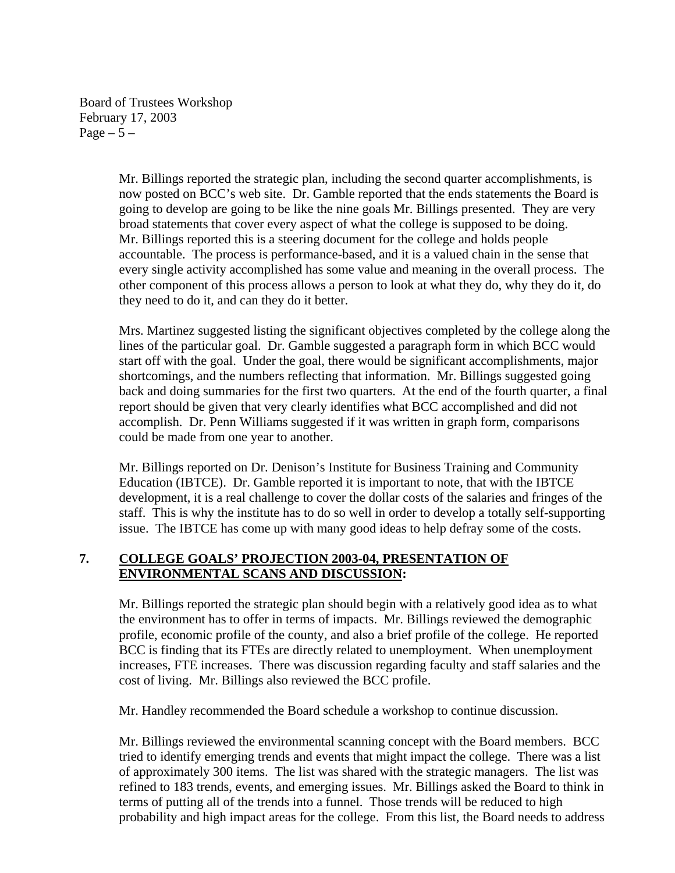Board of Trustees Workshop February 17, 2003 Page  $-5-$ 

> Mr. Billings reported the strategic plan, including the second quarter accomplishments, is now posted on BCC's web site. Dr. Gamble reported that the ends statements the Board is going to develop are going to be like the nine goals Mr. Billings presented. They are very broad statements that cover every aspect of what the college is supposed to be doing. Mr. Billings reported this is a steering document for the college and holds people accountable. The process is performance-based, and it is a valued chain in the sense that every single activity accomplished has some value and meaning in the overall process. The other component of this process allows a person to look at what they do, why they do it, do they need to do it, and can they do it better.

Mrs. Martinez suggested listing the significant objectives completed by the college along the lines of the particular goal. Dr. Gamble suggested a paragraph form in which BCC would start off with the goal. Under the goal, there would be significant accomplishments, major shortcomings, and the numbers reflecting that information. Mr. Billings suggested going back and doing summaries for the first two quarters. At the end of the fourth quarter, a final report should be given that very clearly identifies what BCC accomplished and did not accomplish. Dr. Penn Williams suggested if it was written in graph form, comparisons could be made from one year to another.

Mr. Billings reported on Dr. Denison's Institute for Business Training and Community Education (IBTCE). Dr. Gamble reported it is important to note, that with the IBTCE development, it is a real challenge to cover the dollar costs of the salaries and fringes of the staff. This is why the institute has to do so well in order to develop a totally self-supporting issue. The IBTCE has come up with many good ideas to help defray some of the costs.

# **7. COLLEGE GOALS' PROJECTION 2003-04, PRESENTATION OF ENVIRONMENTAL SCANS AND DISCUSSION:**

Mr. Billings reported the strategic plan should begin with a relatively good idea as to what the environment has to offer in terms of impacts. Mr. Billings reviewed the demographic profile, economic profile of the county, and also a brief profile of the college. He reported BCC is finding that its FTEs are directly related to unemployment. When unemployment increases, FTE increases. There was discussion regarding faculty and staff salaries and the cost of living. Mr. Billings also reviewed the BCC profile.

Mr. Handley recommended the Board schedule a workshop to continue discussion.

Mr. Billings reviewed the environmental scanning concept with the Board members. BCC tried to identify emerging trends and events that might impact the college. There was a list of approximately 300 items. The list was shared with the strategic managers. The list was refined to 183 trends, events, and emerging issues. Mr. Billings asked the Board to think in terms of putting all of the trends into a funnel. Those trends will be reduced to high probability and high impact areas for the college. From this list, the Board needs to address